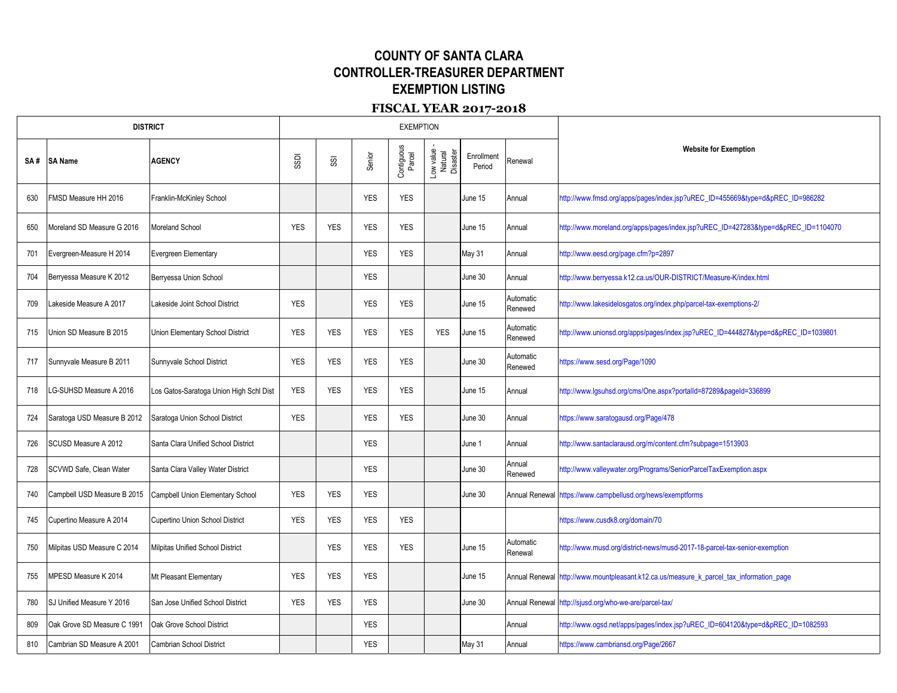## **COUNTY OF SANTA CLARA CONTROLLER-TREASURER DEPARTMENT EXEMPTION LISTING**

## **FISCAL YEAR 2017-2018**

| <b>DISTRICT</b> |                             |                                         |              |            |            | <b>EXEMPTION</b>     |                                  |                      |                      |                                                                                         |
|-----------------|-----------------------------|-----------------------------------------|--------------|------------|------------|----------------------|----------------------------------|----------------------|----------------------|-----------------------------------------------------------------------------------------|
| SA#             | <b>SA Name</b>              | <b>AGENCY</b>                           | <b>GSSDI</b> | SSI        | Senior     | Contiguous<br>Parcel | Low value<br>Natural<br>Disaster | Enrollment<br>Period | Renewal              | <b>Website for Exemption</b>                                                            |
| 630             | FMSD Measure HH 2016        | Franklin-McKinley School                |              |            | <b>YES</b> | <b>YES</b>           |                                  | June 15              | Annual               | http://www.fmsd.org/apps/pages/index.jsp?uREC_ID=455669&type=d&pREC_ID=986282           |
| 650             | Moreland SD Measure G 2016  | Moreland School                         | <b>YES</b>   | <b>YES</b> | <b>YES</b> | <b>YES</b>           |                                  | June 15              | Annual               | http://www.moreland.org/apps/pages/index.jsp?uREC_ID=427283&type=d&pREC_ID=1104070      |
| 701             | Evergreen-Measure H 2014    | Evergreen Elementary                    |              |            | <b>YES</b> | <b>YES</b>           |                                  | May 31               | Annual               | http://www.eesd.org/page.cfm?p=2897                                                     |
| 704             | Berryessa Measure K 2012    | Berryessa Union School                  |              |            | <b>YES</b> |                      |                                  | June 30              | Annual               | http://www.berryessa.k12.ca.us/OUR-DISTRICT/Measure-K/index.html                        |
| 709             | akeside Measure A 2017      | Lakeside Joint School District          | <b>YES</b>   |            | <b>YES</b> | <b>YES</b>           |                                  | June 15              | Automatic<br>Renewed | http://www.lakesidelosgatos.org/index.php/parcel-tax-exemptions-2/                      |
| 715             | Jnion SD Measure B 2015     | Union Elementary School District        | <b>YES</b>   | <b>YES</b> | <b>YES</b> | <b>YES</b>           | <b>YES</b>                       | June 15              | Automatic<br>Renewed | http://www.unionsd.org/apps/pages/index.jsp?uREC_ID=444827&type=d&pREC_ID=1039801       |
| 717             | Sunnyvale Measure B 2011    | Sunnyvale School District               | <b>YES</b>   | <b>YES</b> | <b>YES</b> | <b>YES</b>           |                                  | June 30              | Automatic<br>Renewed | https://www.sesd.org/Page/1090                                                          |
| 718             | G-SUHSD Measure A 2016      | Los Gatos-Saratoga Union High Schl Dist | <b>YES</b>   | <b>YES</b> | <b>YES</b> | <b>YES</b>           |                                  | June 15              | Annual               | http://www.lgsuhsd.org/cms/One.aspx?portalId=87289&pageId=336899                        |
| 724             | Saratoga USD Measure B 2012 | Saratoga Union School District          | <b>YES</b>   |            | <b>YES</b> | <b>YES</b>           |                                  | June 30              | Annual               | https://www.saratogausd.org/Page/478                                                    |
| 726             | SCUSD Measure A 2012        | Santa Clara Unified School District     |              |            | <b>YES</b> |                      |                                  | June 1               | Annual               | http://www.santaclarausd.org/m/content.cfm?subpage=1513903                              |
| 728             | SCVWD Safe, Clean Water     | Santa Clara Valley Water District       |              |            | <b>YES</b> |                      |                                  | June 30              | Annual<br>Renewed    | http://www.valleywater.org/Programs/SeniorParcelTaxExemption.aspx                       |
| 740             | Campbell USD Measure B 2015 | Campbell Union Elementary School        | <b>YES</b>   | <b>YES</b> | <b>YES</b> |                      |                                  | June 30              |                      | Annual Renewal https://www.campbellusd.org/news/exemptforms                             |
| 745             | Cupertino Measure A 2014    | <b>Cupertino Union School District</b>  | <b>YES</b>   | <b>YES</b> | <b>YES</b> | <b>YES</b>           |                                  |                      |                      | https://www.cusdk8.org/domain/70                                                        |
| 750             | Milpitas USD Measure C 2014 | Milpitas Unified School District        |              | <b>YES</b> | <b>YES</b> | <b>YES</b>           |                                  | June 15              | Automatic<br>Renewal | http://www.musd.org/district-news/musd-2017-18-parcel-tax-senior-exemption              |
| 755             | MPESD Measure K 2014        | Mt Pleasant Elementary                  | <b>YES</b>   | <b>YES</b> | <b>YES</b> |                      |                                  | June 15              |                      | Annual Renewal http://www.mountpleasant.k12.ca.us/measure_k_parcel_tax_information_page |
| 780             | SJ Unified Measure Y 2016   | San Jose Unified School District        | <b>YES</b>   | <b>YES</b> | <b>YES</b> |                      |                                  | June 30              |                      | Annual Renewal http://sjusd.org/who-we-are/parcel-tax/                                  |
| 809             | Oak Grove SD Measure C 1991 | Oak Grove School District               |              |            | <b>YES</b> |                      |                                  |                      | Annual               | http://www.ogsd.net/apps/pages/index.jsp?uREC_ID=604120&type=d&pREC_ID=1082593          |
| 810             | Cambrian SD Measure A 2001  | <b>Cambrian School District</b>         |              |            | <b>YES</b> |                      |                                  | <b>May 31</b>        | Annual               | https://www.cambriansd.org/Page/2667                                                    |